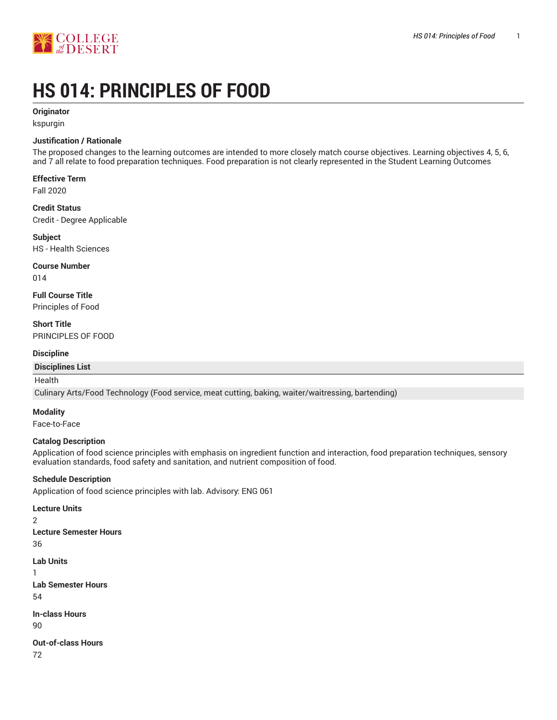

# **HS 014: PRINCIPLES OF FOOD**

#### **Originator**

kspurgin

#### **Justification / Rationale**

The proposed changes to the learning outcomes are intended to more closely match course objectives. Learning objectives 4, 5, 6, and 7 all relate to food preparation techniques. Food preparation is not clearly represented in the Student Learning Outcomes

#### **Effective Term**

Fall 2020

#### **Credit Status** Credit - Degree Applicable

**Subject** HS - Health Sciences

#### **Course Number**

014

#### **Full Course Title** Principles of Food

**Short Title** PRINCIPLES OF FOOD

#### **Discipline**

#### **Disciplines List**

#### Health

Culinary Arts/Food Technology (Food service, meat cutting, baking, waiter/waitressing, bartending)

#### **Modality**

Face-to-Face

#### **Catalog Description**

Application of food science principles with emphasis on ingredient function and interaction, food preparation techniques, sensory evaluation standards, food safety and sanitation, and nutrient composition of food.

#### **Schedule Description**

Application of food science principles with lab. Advisory: ENG 061

**Lecture Units** 2 **Lecture Semester Hours** 36 **Lab Units** 1 **Lab Semester Hours** 54 **In-class Hours** 90 **Out-of-class Hours** 72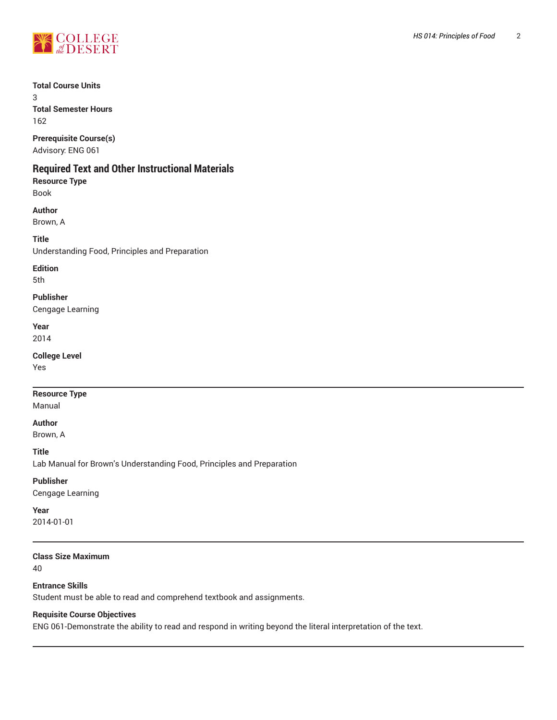

#### **Total Course Units**

3 **Total Semester Hours**

162

**Prerequisite Course(s)** Advisory: ENG 061

### **Required Text and Other Instructional Materials**

**Resource Type** Book

#### **Author**

Brown, A

#### **Title**

Understanding Food, Principles and Preparation

## **Edition**

5th

#### **Publisher**

Cengage Learning

**Year** 2014

#### **College Level**

Yes

#### **Resource Type**

Manual

#### **Author**

Brown, A

**Title**

Lab Manual for Brown's Understanding Food, Principles and Preparation

#### **Publisher**

Cengage Learning

#### **Year**

2014-01-01

#### **Class Size Maximum**

40

#### **Entrance Skills**

Student must be able to read and comprehend textbook and assignments.

#### **Requisite Course Objectives**

ENG 061-Demonstrate the ability to read and respond in writing beyond the literal interpretation of the text.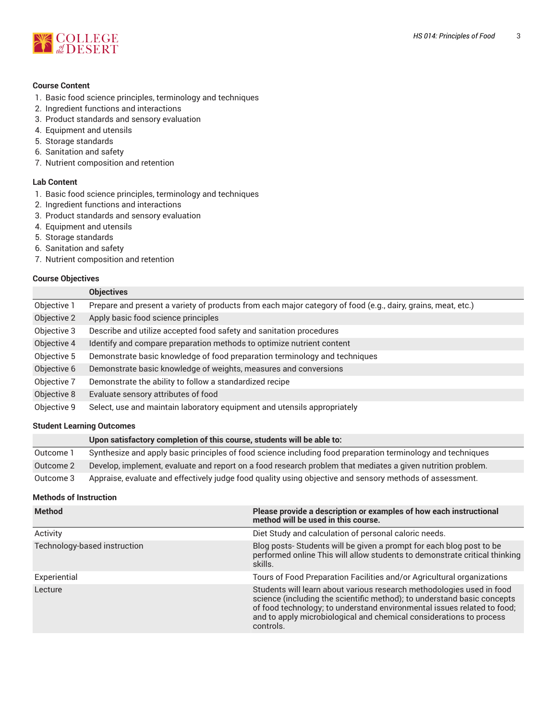

#### **Course Content**

- 1. Basic food science principles, terminology and techniques
- 2. Ingredient functions and interactions
- 3. Product standards and sensory evaluation
- 4. Equipment and utensils
- 5. Storage standards
- 6. Sanitation and safety
- 7. Nutrient composition and retention

#### **Lab Content**

- 1. Basic food science principles, terminology and techniques
- 2. Ingredient functions and interactions
- 3. Product standards and sensory evaluation
- 4. Equipment and utensils
- 5. Storage standards
- 6. Sanitation and safety
- 7. Nutrient composition and retention

#### **Course Objectives**

|             | <b>Objectives</b>                                                                                            |
|-------------|--------------------------------------------------------------------------------------------------------------|
| Objective 1 | Prepare and present a variety of products from each major category of food (e.g., dairy, grains, meat, etc.) |
| Objective 2 | Apply basic food science principles                                                                          |
| Objective 3 | Describe and utilize accepted food safety and sanitation procedures                                          |
| Objective 4 | Identify and compare preparation methods to optimize nutrient content                                        |
| Objective 5 | Demonstrate basic knowledge of food preparation terminology and techniques                                   |
| Objective 6 | Demonstrate basic knowledge of weights, measures and conversions                                             |
| Objective 7 | Demonstrate the ability to follow a standardized recipe                                                      |
| Objective 8 | Evaluate sensory attributes of food                                                                          |
| Objective 9 | Select, use and maintain laboratory equipment and utensils appropriately                                     |

#### **Student Learning Outcomes**

|           | Upon satisfactory completion of this course, students will be able to:                                      |
|-----------|-------------------------------------------------------------------------------------------------------------|
| Outcome 1 | Synthesize and apply basic principles of food science including food preparation terminology and techniques |
| Outcome 2 | Develop, implement, evaluate and report on a food research problem that mediates a given nutrition problem. |
| Outcome 3 | Appraise, evaluate and effectively judge food quality using objective and sensory methods of assessment.    |

#### **Methods of Instruction**

| <b>Method</b>                | Please provide a description or examples of how each instructional<br>method will be used in this course.                                                                                                                                                                                                       |
|------------------------------|-----------------------------------------------------------------------------------------------------------------------------------------------------------------------------------------------------------------------------------------------------------------------------------------------------------------|
| Activity                     | Diet Study and calculation of personal caloric needs.                                                                                                                                                                                                                                                           |
| Technology-based instruction | Blog posts-Students will be given a prompt for each blog post to be<br>performed online This will allow students to demonstrate critical thinking<br>skills.                                                                                                                                                    |
| Experiential                 | Tours of Food Preparation Facilities and/or Agricultural organizations                                                                                                                                                                                                                                          |
| Lecture                      | Students will learn about various research methodologies used in food<br>science (including the scientific method); to understand basic concepts<br>of food technology; to understand environmental issues related to food;<br>and to apply microbiological and chemical considerations to process<br>controls. |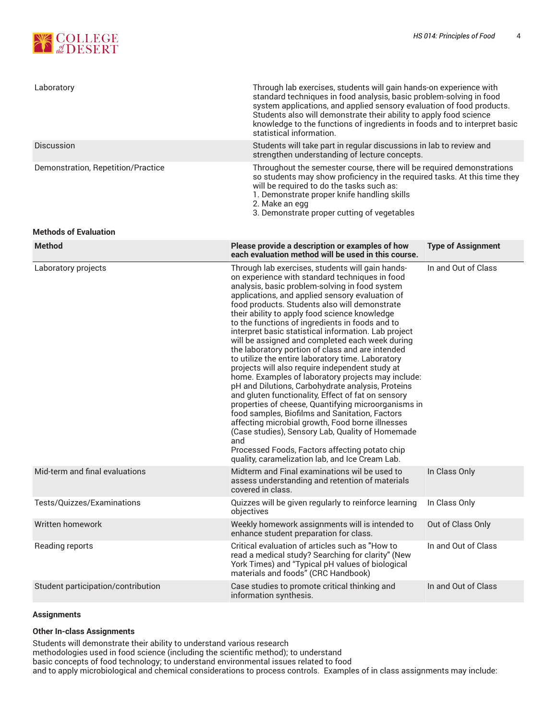

| Laboratory                         | Through lab exercises, students will gain hands-on experience with<br>standard techniques in food analysis, basic problem-solving in food<br>system applications, and applied sensory evaluation of food products.<br>Students also will demonstrate their ability to apply food science<br>knowledge to the functions of ingredients in foods and to interpret basic<br>statistical information.                                                                                                                                                                                                                                                                                                                                                                                                                                                                                                                                                                                                                                                                                                                                 |                           |  |
|------------------------------------|-----------------------------------------------------------------------------------------------------------------------------------------------------------------------------------------------------------------------------------------------------------------------------------------------------------------------------------------------------------------------------------------------------------------------------------------------------------------------------------------------------------------------------------------------------------------------------------------------------------------------------------------------------------------------------------------------------------------------------------------------------------------------------------------------------------------------------------------------------------------------------------------------------------------------------------------------------------------------------------------------------------------------------------------------------------------------------------------------------------------------------------|---------------------------|--|
| <b>Discussion</b>                  | Students will take part in regular discussions in lab to review and<br>strengthen understanding of lecture concepts.                                                                                                                                                                                                                                                                                                                                                                                                                                                                                                                                                                                                                                                                                                                                                                                                                                                                                                                                                                                                              |                           |  |
| Demonstration, Repetition/Practice | Throughout the semester course, there will be required demonstrations<br>so students may show proficiency in the required tasks. At this time they<br>will be required to do the tasks such as:<br>1. Demonstrate proper knife handling skills<br>2. Make an egg<br>3. Demonstrate proper cutting of vegetables                                                                                                                                                                                                                                                                                                                                                                                                                                                                                                                                                                                                                                                                                                                                                                                                                   |                           |  |
| <b>Methods of Evaluation</b>       |                                                                                                                                                                                                                                                                                                                                                                                                                                                                                                                                                                                                                                                                                                                                                                                                                                                                                                                                                                                                                                                                                                                                   |                           |  |
| <b>Method</b>                      | Please provide a description or examples of how<br>each evaluation method will be used in this course.                                                                                                                                                                                                                                                                                                                                                                                                                                                                                                                                                                                                                                                                                                                                                                                                                                                                                                                                                                                                                            | <b>Type of Assignment</b> |  |
| Laboratory projects                | Through lab exercises, students will gain hands-<br>on experience with standard techniques in food<br>analysis, basic problem-solving in food system<br>applications, and applied sensory evaluation of<br>food products. Students also will demonstrate<br>their ability to apply food science knowledge<br>to the functions of ingredients in foods and to<br>interpret basic statistical information. Lab project<br>will be assigned and completed each week during<br>the laboratory portion of class and are intended<br>to utilize the entire laboratory time. Laboratory<br>projects will also require independent study at<br>home. Examples of laboratory projects may include:<br>pH and Dilutions, Carbohydrate analysis, Proteins<br>and gluten functionality, Effect of fat on sensory<br>properties of cheese, Quantifying microorganisms in<br>food samples, Biofilms and Sanitation, Factors<br>affecting microbial growth, Food borne illnesses<br>(Case studies), Sensory Lab, Quality of Homemade<br>and<br>Processed Foods, Factors affecting potato chip<br>quality, caramelization lab, and Ice Cream Lab. | In and Out of Class       |  |
| Mid-term and final evaluations     | Midterm and Final examinations wil be used to<br>assess understanding and retention of materials<br>covered in class.                                                                                                                                                                                                                                                                                                                                                                                                                                                                                                                                                                                                                                                                                                                                                                                                                                                                                                                                                                                                             | In Class Only             |  |
| Tests/Quizzes/Examinations         | Quizzes will be given regularly to reinforce learning<br>objectives                                                                                                                                                                                                                                                                                                                                                                                                                                                                                                                                                                                                                                                                                                                                                                                                                                                                                                                                                                                                                                                               | In Class Only             |  |
| Written homework                   | Weekly homework assignments will is intended to<br>enhance student preparation for class.                                                                                                                                                                                                                                                                                                                                                                                                                                                                                                                                                                                                                                                                                                                                                                                                                                                                                                                                                                                                                                         | Out of Class Only         |  |
| Reading reports                    | Critical evaluation of articles such as "How to<br>read a medical study? Searching for clarity" (New<br>York Times) and "Typical pH values of biological<br>materials and foods" (CRC Handbook)                                                                                                                                                                                                                                                                                                                                                                                                                                                                                                                                                                                                                                                                                                                                                                                                                                                                                                                                   | In and Out of Class       |  |
| Student participation/contribution | Case studies to promote critical thinking and<br>information synthesis.                                                                                                                                                                                                                                                                                                                                                                                                                                                                                                                                                                                                                                                                                                                                                                                                                                                                                                                                                                                                                                                           | In and Out of Class       |  |

#### **Assignments**

#### **Other In-class Assignments**

Students will demonstrate their ability to understand various research

methodologies used in food science (including the scientific method); to understand

basic concepts of food technology; to understand environmental issues related to food

and to apply microbiological and chemical considerations to process controls. Examples of in class assignments may include: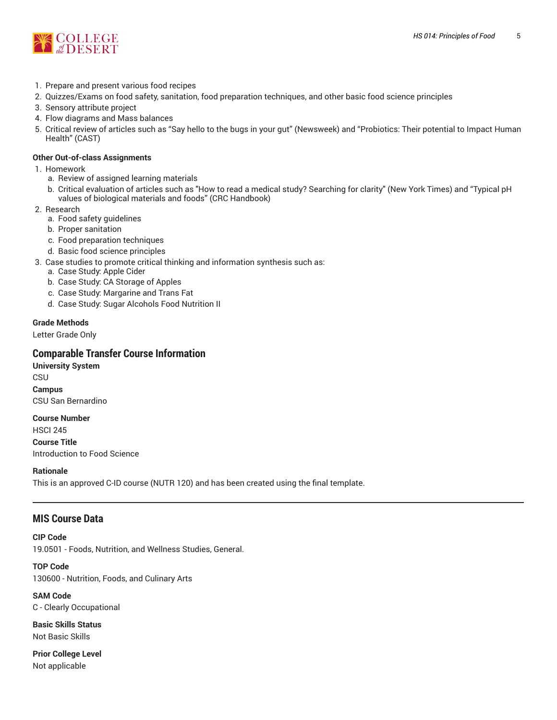

- 1. Prepare and present various food recipes
- 2. Quizzes/Exams on food safety, sanitation, food preparation techniques, and other basic food science principles
- 3. Sensory attribute project
- 4. Flow diagrams and Mass balances
- 5. Critical review of articles such as "Say hello to the bugs in your gut" (Newsweek) and "Probiotics: Their potential to Impact Human Health" (CAST)

#### **Other Out-of-class Assignments**

- 1. Homework
	- a. Review of assigned learning materials
	- b. Critical evaluation of articles such as "How to read a medical study? Searching for clarity" (New York Times) and "Typical pH values of biological materials and foods" (CRC Handbook)
- 2. Research
	- a. Food safety guidelines
	- b. Proper sanitation
	- c. Food preparation techniques
	- d. Basic food science principles
- 3. Case studies to promote critical thinking and information synthesis such as:
	- a. Case Study: Apple Cider
	- b. Case Study: CA Storage of Apples
	- c. Case Study: Margarine and Trans Fat
	- d. Case Study: Sugar Alcohols Food Nutrition II

#### **Grade Methods**

Letter Grade Only

#### **Comparable Transfer Course Information**

**University System CSU Campus** CSU San Bernardino

**Course Number** HSCI 245 **Course Title** Introduction to Food Science

#### **Rationale**

This is an approved C-ID course (NUTR 120) and has been created using the final template.

#### **MIS Course Data**

**CIP Code** 19.0501 - Foods, Nutrition, and Wellness Studies, General.

**TOP Code** 130600 - Nutrition, Foods, and Culinary Arts

**SAM Code** C - Clearly Occupational

**Basic Skills Status** Not Basic Skills

**Prior College Level** Not applicable